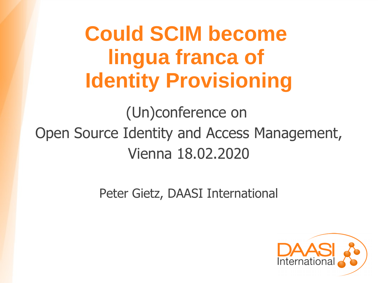# **Could SCIM become lingua franca of Identity Provisioning**

(Un)conference on Open Source Identity and Access Management, Vienna 18.02.2020

Peter Gietz, DAASI International

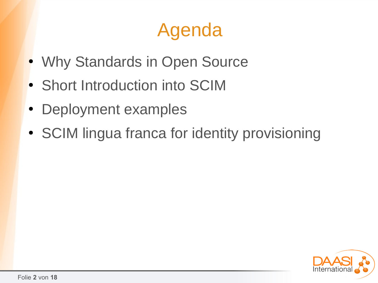# Agenda

- Why Standards in Open Source
- Short Introduction into SCIM
- Deployment examples
- SCIM lingua franca for identity provisioning

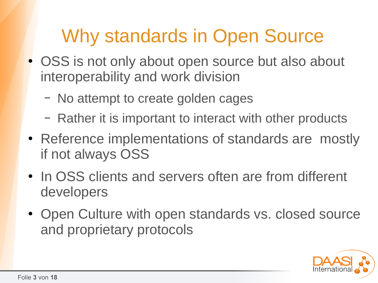# Why standards in Open Source

- OSS is not only about open source but also about interoperability and work division
	- No attempt to create golden cages
	- Rather it is important to interact with other products
- Reference implementations of standards are mostly if not always OSS
- In OSS clients and servers often are from different developers
- Open Culture with open standards vs. closed source and proprietary protocols

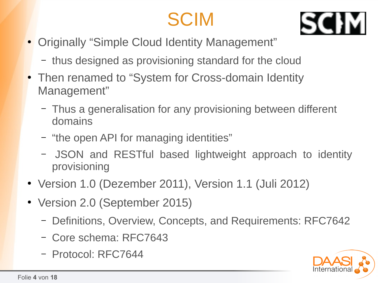# **SCIM**



- Originally "Simple Cloud Identity Management"
	- thus designed as provisioning standard for the cloud
- Then renamed to "System for Cross-domain Identity Management"
	- Thus a generalisation for any provisioning between different domains
	- "the open API for managing identities"
	- JSON and RESTful based lightweight approach to identity provisioning
- Version 1.0 (Dezember 2011), Version 1.1 (Juli 2012)
- Version 2.0 (September 2015)
	- Definitions, Overview, Concepts, and Requirements: RFC7642
	- Core schema: RFC7643
	- Protocol: RFC7644

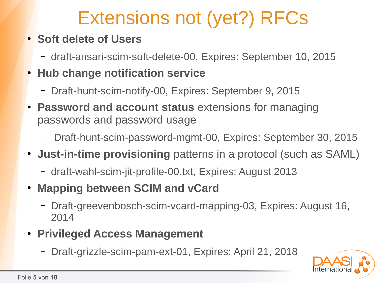# Extensions not (yet?) RFCs

#### ● **Soft delete of Users**

- draft-ansari-scim-soft-delete-00, Expires: September 10, 2015
- **Hub change notification service**
	- Draft-hunt-scim-notify-00, Expires: September 9, 2015
- **Password and account status** extensions for managing passwords and password usage
	- Draft-hunt-scim-password-mgmt-00, Expires: September 30, 2015
- **Just-in-time provisioning** patterns in a protocol (such as SAML)
	- draft-wahl-scim-jit-profile-00.txt, Expires: August 2013
- **Mapping between SCIM and vCard** 
	- Draft-greevenbosch-scim-vcard-mapping-03, Expires: August 16, 2014
- **Privileged Access Management**
	- Draft-grizzle-scim-pam-ext-01, Expires: April 21, 2018

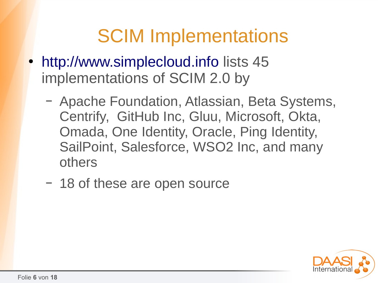### **SCIM Implementations**

- http://www.simplecloud.info lists 45 implementations of SCIM 2.0 by
	- Apache Foundation, Atlassian, Beta Systems, Centrify, GitHub Inc, Gluu, Microsoft, Okta, Omada, One Identity, Oracle, Ping Identity, SailPoint, Salesforce, WSO2 Inc, and many others
	- 18 of these are open source

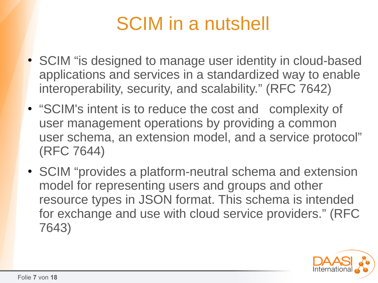# SCIM in a nutshell

- SCIM "is designed to manage user identity in cloud-based applications and services in a standardized way to enable interoperability, security, and scalability." (RFC 7642)
- "SCIM's intent is to reduce the cost and complexity of user management operations by providing a common user schema, an extension model, and a service protocol" (RFC 7644)
- SCIM "provides a platform-neutral schema and extension model for representing users and groups and other resource types in JSON format. This schema is intended for exchange and use with cloud service providers." (RFC 7643)

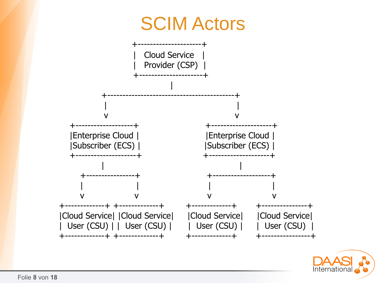

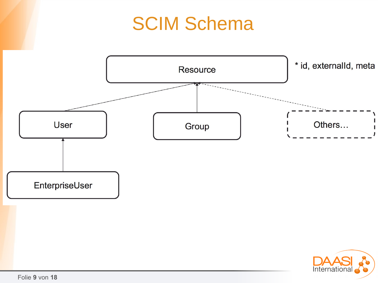# **SCIM Schema**



Folie 9 von 18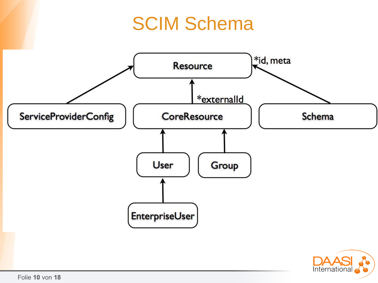#### **SCIM Schema**



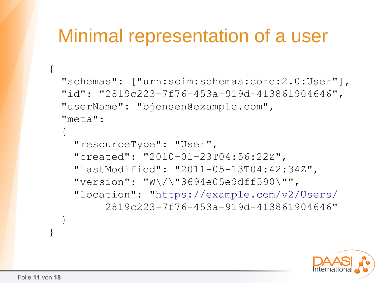#### Minimal representation of a user

```
 "schemas": ["urn:scim:schemas:core:2.0:User"],
 "id": "2819c223-7f76-453a-919d-413861904646",
 "userName": "bjensen@example.com",
 "meta": 
\{ "resourceType": "User",
   "created": "2010-01-23T04:56:22Z",
   "lastModified": "2011-05-13T04:42:34Z",
   "version": "W\/\"3694e05e9dff590\"",
   "location": "https://example.com/v2/Users/
        2819c223-7f76-453a-919d-413861904646"
 }
```


}

 $\{$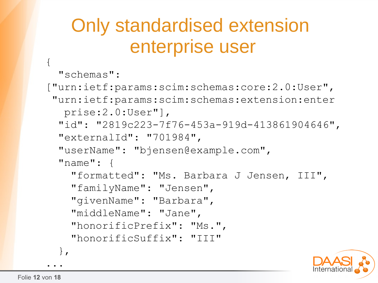# Only standardised extension enterprise user

```
 "schemas":
```
 $\{$ 

```
["urn:ietf:params:scim:schemas:core:2.0:User", 
 "urn:ietf:params:scim:schemas:extension:enter
   prise:2.0:User"],
  "id": "2819c223-7f76-453a-919d-413861904646",
  "externalId": "701984",
  "userName": "bjensen@example.com",
  "name": {
     "formatted": "Ms. Barbara J Jensen, III",
     "familyName": "Jensen",
     "givenName": "Barbara",
     "middleName": "Jane",
     "honorificPrefix": "Ms.",
     "honorificSuffix": "III"
   },
```
...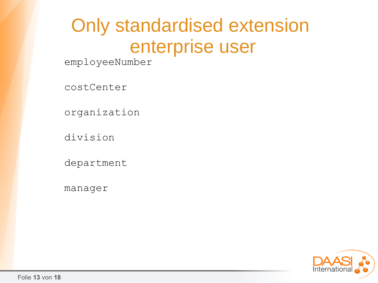# Only standardised extension enterprise user

employeeNumber

costCenter

organization

division

department

manager

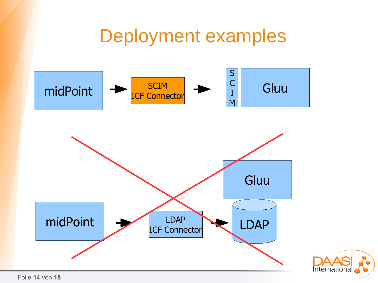#### **Deployment examples**



Folie 14 von 18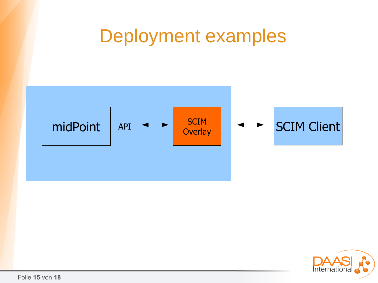#### Deployment examples



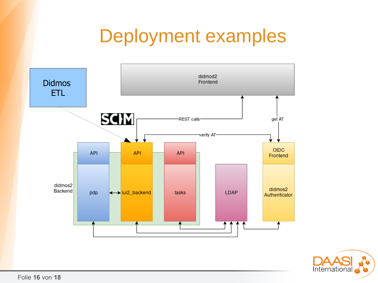# **Deployment examples**



![](_page_15_Picture_2.jpeg)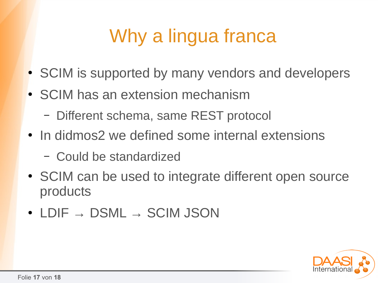# Why a lingua franca

- SCIM is supported by many vendors and developers
- SCIM has an extension mechanism
	- Different schema, same REST protocol
- In didmos2 we defined some internal extensions
	- Could be standardized
- SCIM can be used to integrate different open source products
- LDIF  $\rightarrow$  DSML  $\rightarrow$  SCIM JSON

![](_page_16_Picture_8.jpeg)